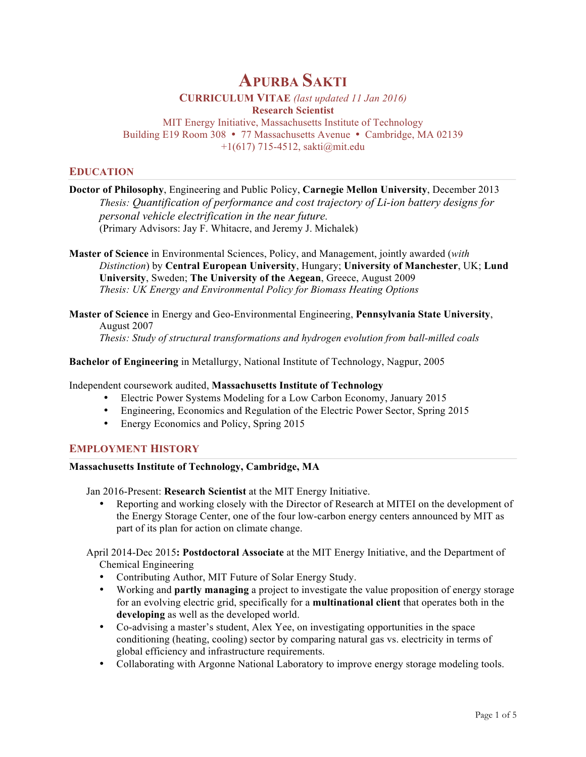# **APURBA SAKTI**

# **CURRICULUM VITAE** *(last updated 11 Jan 2016)* **Research Scientist**

MIT Energy Initiative, Massachusetts Institute of Technology Building E19 Room 308 • 77 Massachusetts Avenue • Cambridge, MA 02139 +1(617) 715-4512, sakti@mit.edu

## **EDUCATION**

| Doctor of Philosophy, Engineering and Public Policy, Carnegie Mellon University, December 2013 |
|------------------------------------------------------------------------------------------------|
| Thesis: Quantification of performance and cost trajectory of Li-ion battery designs for        |
| personal vehicle electrification in the near future.                                           |
| (Primary Advisors: Jay F. Whitacre, and Jeremy J. Michalek)                                    |
|                                                                                                |

**Master of Science** in Environmental Sciences, Policy, and Management, jointly awarded (*with Distinction*) by **Central European University**, Hungary; **University of Manchester**, UK; **Lund University**, Sweden; **The University of the Aegean**, Greece, August 2009 *Thesis: UK Energy and Environmental Policy for Biomass Heating Options*

**Master of Science** in Energy and Geo-Environmental Engineering, **Pennsylvania State University**, August 2007 *Thesis: Study of structural transformations and hydrogen evolution from ball-milled coals* 

**Bachelor of Engineering** in Metallurgy, National Institute of Technology, Nagpur, 2005

#### Independent coursework audited, **Massachusetts Institute of Technology**

- Electric Power Systems Modeling for a Low Carbon Economy, January 2015
- Engineering, Economics and Regulation of the Electric Power Sector, Spring 2015
- Energy Economics and Policy, Spring 2015

## **EMPLOYMENT HISTORY**

#### **Massachusetts Institute of Technology, Cambridge, MA**

Jan 2016-Present: **Research Scientist** at the MIT Energy Initiative.

• Reporting and working closely with the Director of Research at MITEI on the development of the Energy Storage Center, one of the four low-carbon energy centers announced by MIT as part of its plan for action on climate change.

April 2014-Dec 2015**: Postdoctoral Associate** at the MIT Energy Initiative, and the Department of Chemical Engineering

- Contributing Author, MIT Future of Solar Energy Study.
- Working and **partly managing** a project to investigate the value proposition of energy storage for an evolving electric grid, specifically for a **multinational client** that operates both in the **developing** as well as the developed world.
- Co-advising a master's student, Alex Yee, on investigating opportunities in the space conditioning (heating, cooling) sector by comparing natural gas vs. electricity in terms of global efficiency and infrastructure requirements.
- Collaborating with Argonne National Laboratory to improve energy storage modeling tools.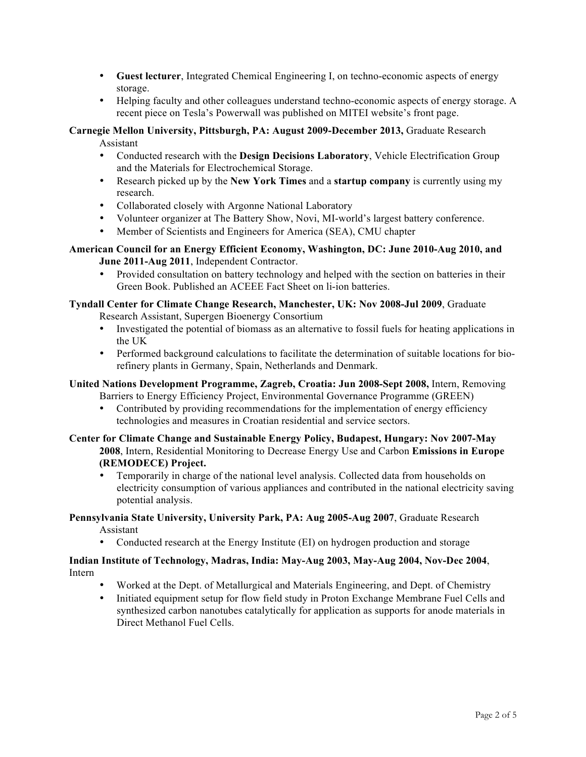- **Guest lecturer**, Integrated Chemical Engineering I, on techno-economic aspects of energy storage.
- Helping faculty and other colleagues understand techno-economic aspects of energy storage. A recent piece on Tesla's Powerwall was published on MITEI website's front page.

#### **Carnegie Mellon University, Pittsburgh, PA: August 2009-December 2013,** Graduate Research Assistant

- Conducted research with the **Design Decisions Laboratory**, Vehicle Electrification Group and the Materials for Electrochemical Storage.
- Research picked up by the **New York Times** and a **startup company** is currently using my research.
- Collaborated closely with Argonne National Laboratory
- Volunteer organizer at The Battery Show, Novi, MI-world's largest battery conference.
- Member of Scientists and Engineers for America (SEA), CMU chapter

## **American Council for an Energy Efficient Economy, Washington, DC: June 2010-Aug 2010, and June 2011-Aug 2011**, Independent Contractor.

• Provided consultation on battery technology and helped with the section on batteries in their Green Book. Published an ACEEE Fact Sheet on li-ion batteries.

# **Tyndall Center for Climate Change Research, Manchester, UK: Nov 2008-Jul 2009**, Graduate

Research Assistant, Supergen Bioenergy Consortium

- Investigated the potential of biomass as an alternative to fossil fuels for heating applications in the UK
- Performed background calculations to facilitate the determination of suitable locations for biorefinery plants in Germany, Spain, Netherlands and Denmark.

### **United Nations Development Programme, Zagreb, Croatia: Jun 2008-Sept 2008,** Intern, Removing Barriers to Energy Efficiency Project, Environmental Governance Programme (GREEN)

• Contributed by providing recommendations for the implementation of energy efficiency technologies and measures in Croatian residential and service sectors.

### **Center for Climate Change and Sustainable Energy Policy, Budapest, Hungary: Nov 2007-May 2008**, Intern, Residential Monitoring to Decrease Energy Use and Carbon **Emissions in Europe (REMODECE) Project.**

• Temporarily in charge of the national level analysis. Collected data from households on electricity consumption of various appliances and contributed in the national electricity saving potential analysis.

# **Pennsylvania State University, University Park, PA: Aug 2005-Aug 2007**, Graduate Research

Assistant

• Conducted research at the Energy Institute (EI) on hydrogen production and storage

## **Indian Institute of Technology, Madras, India: May-Aug 2003, May-Aug 2004, Nov-Dec 2004**, Intern

- Worked at the Dept. of Metallurgical and Materials Engineering, and Dept. of Chemistry
- Initiated equipment setup for flow field study in Proton Exchange Membrane Fuel Cells and synthesized carbon nanotubes catalytically for application as supports for anode materials in Direct Methanol Fuel Cells.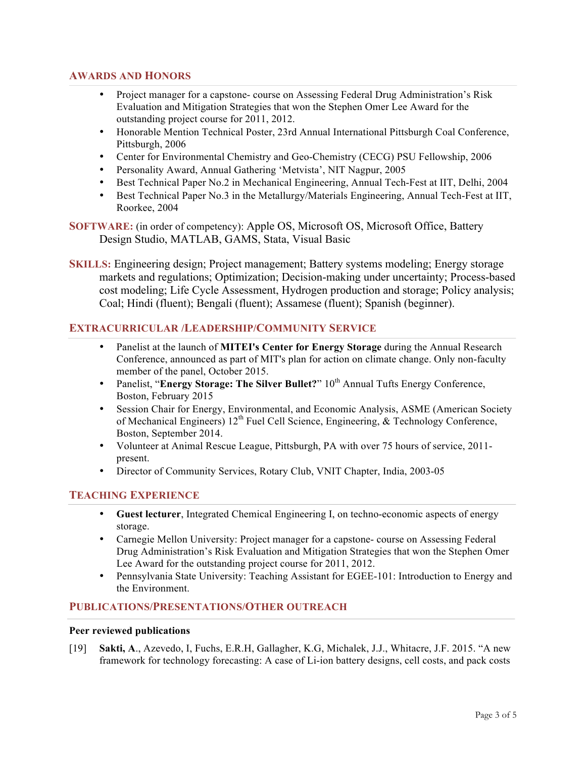# **AWARDS AND HONORS**

- Project manager for a capstone- course on Assessing Federal Drug Administration's Risk Evaluation and Mitigation Strategies that won the Stephen Omer Lee Award for the outstanding project course for 2011, 2012.
- Honorable Mention Technical Poster, 23rd Annual International Pittsburgh Coal Conference, Pittsburgh, 2006
- Center for Environmental Chemistry and Geo-Chemistry (CECG) PSU Fellowship, 2006
- Personality Award, Annual Gathering 'Metvista', NIT Nagpur, 2005
- Best Technical Paper No.2 in Mechanical Engineering, Annual Tech-Fest at IIT, Delhi, 2004
- Best Technical Paper No.3 in the Metallurgy/Materials Engineering, Annual Tech-Fest at IIT, Roorkee, 2004

**SOFTWARE:** (in order of competency): Apple OS, Microsoft OS, Microsoft Office, Battery Design Studio, MATLAB, GAMS, Stata, Visual Basic

**SKILLS:** Engineering design; Project management; Battery systems modeling; Energy storage markets and regulations; Optimization; Decision-making under uncertainty; Process-based cost modeling; Life Cycle Assessment, Hydrogen production and storage; Policy analysis; Coal; Hindi (fluent); Bengali (fluent); Assamese (fluent); Spanish (beginner).

## **EXTRACURRICULAR /LEADERSHIP/COMMUNITY SERVICE**

- Panelist at the launch of **MITEI's Center for Energy Storage** during the Annual Research Conference, announced as part of MIT's plan for action on climate change. Only non-faculty member of the panel, October 2015.
- Panelist, "**Energy Storage: The Silver Bullet?**" 10<sup>th</sup> Annual Tufts Energy Conference, Boston, February 2015
- Session Chair for Energy, Environmental, and Economic Analysis, ASME (American Society of Mechanical Engineers)  $12<sup>th</sup>$  Fuel Cell Science, Engineering, & Technology Conference, Boston, September 2014.
- Volunteer at Animal Rescue League, Pittsburgh, PA with over 75 hours of service, 2011 present.
- Director of Community Services, Rotary Club, VNIT Chapter, India, 2003-05

## **TEACHING EXPERIENCE**

- **Guest lecturer**, Integrated Chemical Engineering I, on techno-economic aspects of energy storage.
- Carnegie Mellon University: Project manager for a capstone- course on Assessing Federal Drug Administration's Risk Evaluation and Mitigation Strategies that won the Stephen Omer Lee Award for the outstanding project course for 2011, 2012.
- Pennsylvania State University: Teaching Assistant for EGEE-101: Introduction to Energy and the Environment.

# **PUBLICATIONS/PRESENTATIONS/OTHER OUTREACH**

#### **Peer reviewed publications**

[19] **Sakti, A**., Azevedo, I, Fuchs, E.R.H, Gallagher, K.G, Michalek, J.J., Whitacre, J.F. 2015. "A new framework for technology forecasting: A case of Li-ion battery designs, cell costs, and pack costs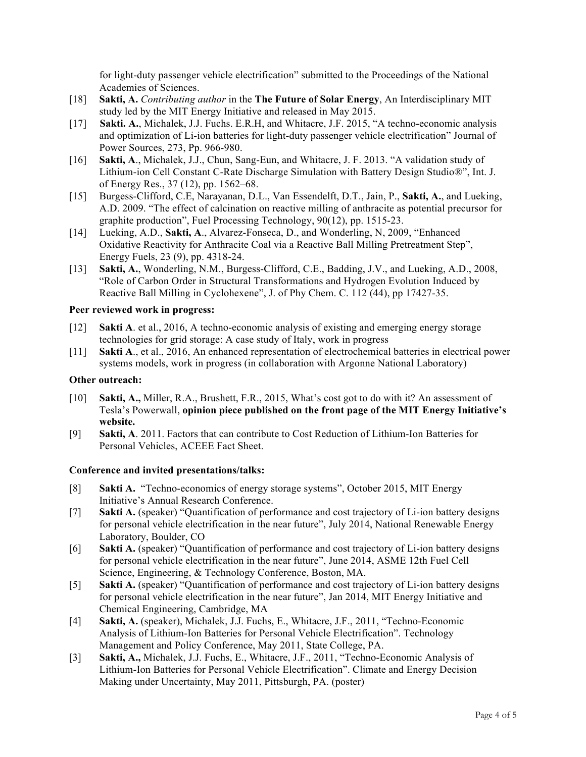for light-duty passenger vehicle electrification" submitted to the Proceedings of the National Academies of Sciences.

- [18] **Sakti, A.** *Contributing author* in the **The Future of Solar Energy**, An Interdisciplinary MIT study led by the MIT Energy Initiative and released in May 2015.
- [17] **Sakti. A.**, Michalek, J.J. Fuchs. E.R.H, and Whitacre, J.F. 2015, "A techno-economic analysis and optimization of Li-ion batteries for light-duty passenger vehicle electrification" Journal of Power Sources, 273, Pp. 966-980.
- [16] **Sakti, A**., Michalek, J.J., Chun, Sang-Eun, and Whitacre, J. F. 2013. "A validation study of Lithium-ion Cell Constant C-Rate Discharge Simulation with Battery Design Studio®", Int. J. of Energy Res., 37 (12), pp. 1562–68.
- [15] Burgess-Clifford, C.E, Narayanan, D.L., Van Essendelft, D.T., Jain, P., **Sakti, A.**, and Lueking, A.D. 2009. "The effect of calcination on reactive milling of anthracite as potential precursor for graphite production", Fuel Processing Technology, 90(12), pp. 1515-23.
- [14] Lueking, A.D., **Sakti, A**., Alvarez-Fonseca, D., and Wonderling, N, 2009, "Enhanced Oxidative Reactivity for Anthracite Coal via a Reactive Ball Milling Pretreatment Step", Energy Fuels, 23 (9), pp. 4318-24.
- [13] **Sakti, A.**, Wonderling, N.M., Burgess-Clifford, C.E., Badding, J.V., and Lueking, A.D., 2008, "Role of Carbon Order in Structural Transformations and Hydrogen Evolution Induced by Reactive Ball Milling in Cyclohexene", J. of Phy Chem. C. 112 (44), pp 17427-35.

### **Peer reviewed work in progress:**

- [12] **Sakti A**. et al., 2016, A techno-economic analysis of existing and emerging energy storage technologies for grid storage: A case study of Italy, work in progress
- [11] **Sakti A**., et al., 2016, An enhanced representation of electrochemical batteries in electrical power systems models, work in progress (in collaboration with Argonne National Laboratory)

#### **Other outreach:**

- [10] **Sakti, A.,** Miller, R.A., Brushett, F.R., 2015, What's cost got to do with it? An assessment of Tesla's Powerwall, **opinion piece published on the front page of the MIT Energy Initiative's website.**
- [9] **Sakti, A**. 2011. Factors that can contribute to Cost Reduction of Lithium-Ion Batteries for Personal Vehicles, ACEEE Fact Sheet.

## **Conference and invited presentations/talks:**

- [8] **Sakti A.** "Techno-economics of energy storage systems", October 2015, MIT Energy Initiative's Annual Research Conference.
- [7] **Sakti A.** (speaker) "Quantification of performance and cost trajectory of Li-ion battery designs for personal vehicle electrification in the near future", July 2014, National Renewable Energy Laboratory, Boulder, CO
- [6] **Sakti A.** (speaker) "Quantification of performance and cost trajectory of Li-ion battery designs for personal vehicle electrification in the near future", June 2014, ASME 12th Fuel Cell Science, Engineering, & Technology Conference, Boston, MA.
- [5] **Sakti A.** (speaker) "Quantification of performance and cost trajectory of Li-ion battery designs for personal vehicle electrification in the near future", Jan 2014, MIT Energy Initiative and Chemical Engineering, Cambridge, MA
- [4] **Sakti, A.** (speaker), Michalek, J.J. Fuchs, E., Whitacre, J.F., 2011, "Techno-Economic Analysis of Lithium-Ion Batteries for Personal Vehicle Electrification". Technology Management and Policy Conference, May 2011, State College, PA.
- [3] **Sakti, A.,** Michalek, J.J. Fuchs, E., Whitacre, J.F., 2011, "Techno-Economic Analysis of Lithium-Ion Batteries for Personal Vehicle Electrification". Climate and Energy Decision Making under Uncertainty, May 2011, Pittsburgh, PA. (poster)